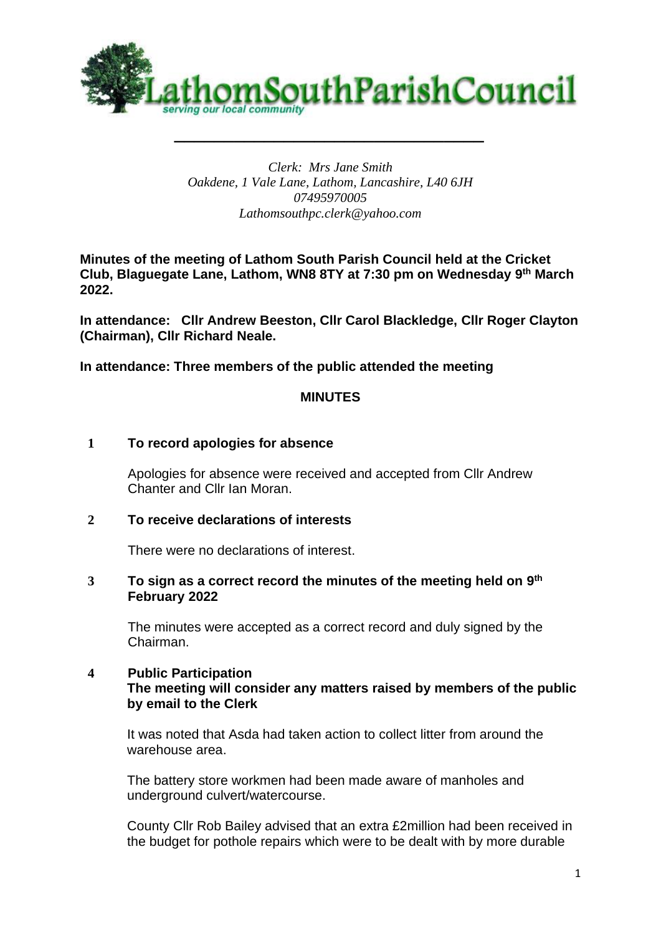

# *Clerk: Mrs Jane Smith Oakdene, 1 Vale Lane, Lathom, Lancashire, L40 6JH 07495970005 Lathomsouthpc.clerk@yahoo.com*

**Minutes of the meeting of Lathom South Parish Council held at the Cricket Club, Blaguegate Lane, Lathom, WN8 8TY at 7:30 pm on Wednesday 9 th March 2022.** 

**In attendance: Cllr Andrew Beeston, Cllr Carol Blackledge, Cllr Roger Clayton (Chairman), Cllr Richard Neale.**

**In attendance: Three members of the public attended the meeting**

#### **MINUTES**

#### **1 To record apologies for absence**

Apologies for absence were received and accepted from Cllr Andrew Chanter and Cllr Ian Moran.

### **2 To receive declarations of interests**

There were no declarations of interest.

#### **3 To sign as a correct record the minutes of the meeting held on 9 th February 2022**

The minutes were accepted as a correct record and duly signed by the Chairman.

# **4 Public Participation The meeting will consider any matters raised by members of the public by email to the Clerk**

It was noted that Asda had taken action to collect litter from around the warehouse area.

The battery store workmen had been made aware of manholes and underground culvert/watercourse.

County Cllr Rob Bailey advised that an extra £2million had been received in the budget for pothole repairs which were to be dealt with by more durable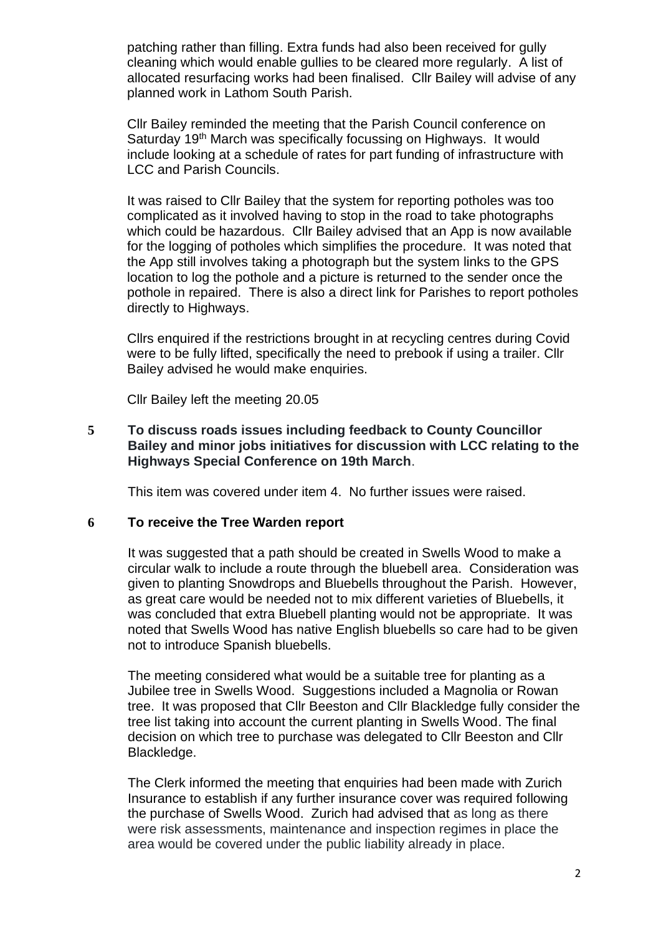patching rather than filling. Extra funds had also been received for gully cleaning which would enable gullies to be cleared more regularly. A list of allocated resurfacing works had been finalised. Cllr Bailey will advise of any planned work in Lathom South Parish.

Cllr Bailey reminded the meeting that the Parish Council conference on Saturday 19<sup>th</sup> March was specifically focussing on Highways. It would include looking at a schedule of rates for part funding of infrastructure with LCC and Parish Councils.

It was raised to Cllr Bailey that the system for reporting potholes was too complicated as it involved having to stop in the road to take photographs which could be hazardous. Cllr Bailey advised that an App is now available for the logging of potholes which simplifies the procedure. It was noted that the App still involves taking a photograph but the system links to the GPS location to log the pothole and a picture is returned to the sender once the pothole in repaired. There is also a direct link for Parishes to report potholes directly to Highways.

Cllrs enquired if the restrictions brought in at recycling centres during Covid were to be fully lifted, specifically the need to prebook if using a trailer. Cllr Bailey advised he would make enquiries.

Cllr Bailey left the meeting 20.05

**5 To discuss roads issues including feedback to County Councillor Bailey and minor jobs initiatives for discussion with LCC relating to the Highways Special Conference on 19th March**.

This item was covered under item 4. No further issues were raised.

#### **6 To receive the Tree Warden report**

It was suggested that a path should be created in Swells Wood to make a circular walk to include a route through the bluebell area. Consideration was given to planting Snowdrops and Bluebells throughout the Parish. However, as great care would be needed not to mix different varieties of Bluebells, it was concluded that extra Bluebell planting would not be appropriate. It was noted that Swells Wood has native English bluebells so care had to be given not to introduce Spanish bluebells.

The meeting considered what would be a suitable tree for planting as a Jubilee tree in Swells Wood. Suggestions included a Magnolia or Rowan tree. It was proposed that Cllr Beeston and Cllr Blackledge fully consider the tree list taking into account the current planting in Swells Wood. The final decision on which tree to purchase was delegated to Cllr Beeston and Cllr Blackledge.

The Clerk informed the meeting that enquiries had been made with Zurich Insurance to establish if any further insurance cover was required following the purchase of Swells Wood. Zurich had advised that as long as there were risk assessments, maintenance and inspection regimes in place the area would be covered under the public liability already in place.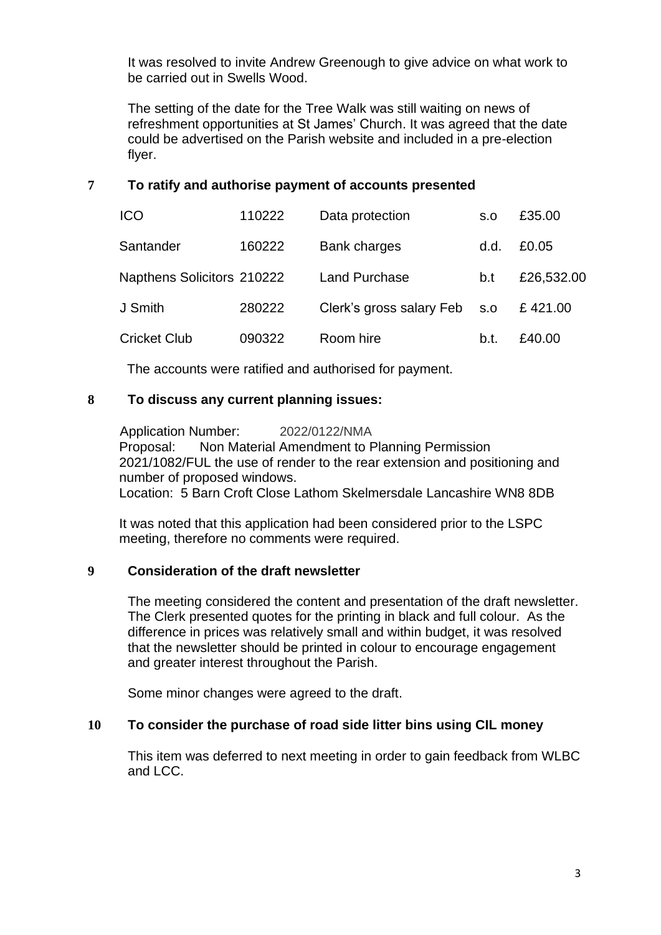It was resolved to invite Andrew Greenough to give advice on what work to be carried out in Swells Wood.

The setting of the date for the Tree Walk was still waiting on news of refreshment opportunities at St James' Church. It was agreed that the date could be advertised on the Parish website and included in a pre-election flyer.

# **7 To ratify and authorise payment of accounts presented**

| <b>ICO</b>                 | 110222 | Data protection              | S.O  | £35.00     |
|----------------------------|--------|------------------------------|------|------------|
| Santander                  | 160222 | <b>Bank charges</b>          | d.d. | £0.05      |
| Napthens Solicitors 210222 |        | <b>Land Purchase</b>         | b.t  | £26,532.00 |
| J Smith                    | 280222 | Clerk's gross salary Feb s.o |      | £421.00    |
| <b>Cricket Club</b>        | 090322 | Room hire                    | b.t. | £40.00     |

The accounts were ratified and authorised for payment.

# **8 To discuss any current planning issues:**

Application Number: 2022/0122/NMA Proposal: Non Material Amendment to Planning Permission 2021/1082/FUL the use of render to the rear extension and positioning and number of proposed windows. Location: 5 Barn Croft Close Lathom Skelmersdale Lancashire WN8 8DB

It was noted that this application had been considered prior to the LSPC meeting, therefore no comments were required.

# **9 Consideration of the draft newsletter**

The meeting considered the content and presentation of the draft newsletter. The Clerk presented quotes for the printing in black and full colour. As the difference in prices was relatively small and within budget, it was resolved that the newsletter should be printed in colour to encourage engagement and greater interest throughout the Parish.

Some minor changes were agreed to the draft.

# **10 To consider the purchase of road side litter bins using CIL money**

This item was deferred to next meeting in order to gain feedback from WLBC and LCC.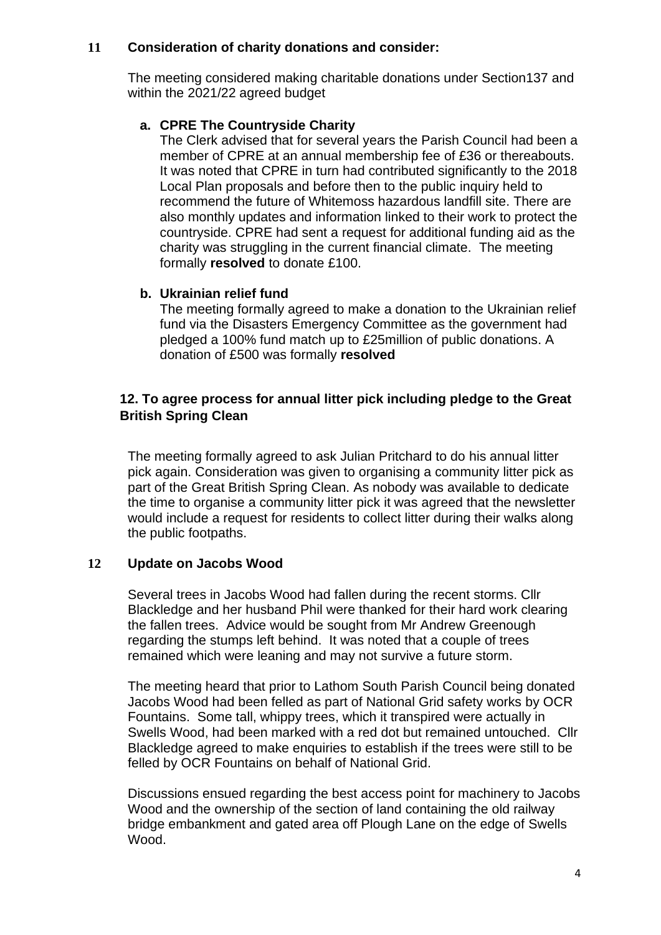# **11 Consideration of charity donations and consider:**

The meeting considered making charitable donations under Section137 and within the 2021/22 agreed budget

# **a. CPRE The Countryside Charity**

The Clerk advised that for several years the Parish Council had been a member of CPRE at an annual membership fee of £36 or thereabouts. It was noted that CPRE in turn had contributed significantly to the 2018 Local Plan proposals and before then to the public inquiry held to recommend the future of Whitemoss hazardous landfill site. There are also monthly updates and information linked to their work to protect the countryside. CPRE had sent a request for additional funding aid as the charity was struggling in the current financial climate. The meeting formally **resolved** to donate £100.

# **b. Ukrainian relief fund**

The meeting formally agreed to make a donation to the Ukrainian relief fund via the Disasters Emergency Committee as the government had pledged a 100% fund match up to £25million of public donations. A donation of £500 was formally **resolved**

# **12. To agree process for annual litter pick including pledge to the Great British Spring Clean**

The meeting formally agreed to ask Julian Pritchard to do his annual litter pick again. Consideration was given to organising a community litter pick as part of the Great British Spring Clean. As nobody was available to dedicate the time to organise a community litter pick it was agreed that the newsletter would include a request for residents to collect litter during their walks along the public footpaths.

# **12 Update on Jacobs Wood**

Several trees in Jacobs Wood had fallen during the recent storms. Cllr Blackledge and her husband Phil were thanked for their hard work clearing the fallen trees. Advice would be sought from Mr Andrew Greenough regarding the stumps left behind. It was noted that a couple of trees remained which were leaning and may not survive a future storm.

The meeting heard that prior to Lathom South Parish Council being donated Jacobs Wood had been felled as part of National Grid safety works by OCR Fountains. Some tall, whippy trees, which it transpired were actually in Swells Wood, had been marked with a red dot but remained untouched. Cllr Blackledge agreed to make enquiries to establish if the trees were still to be felled by OCR Fountains on behalf of National Grid.

Discussions ensued regarding the best access point for machinery to Jacobs Wood and the ownership of the section of land containing the old railway bridge embankment and gated area off Plough Lane on the edge of Swells Wood.